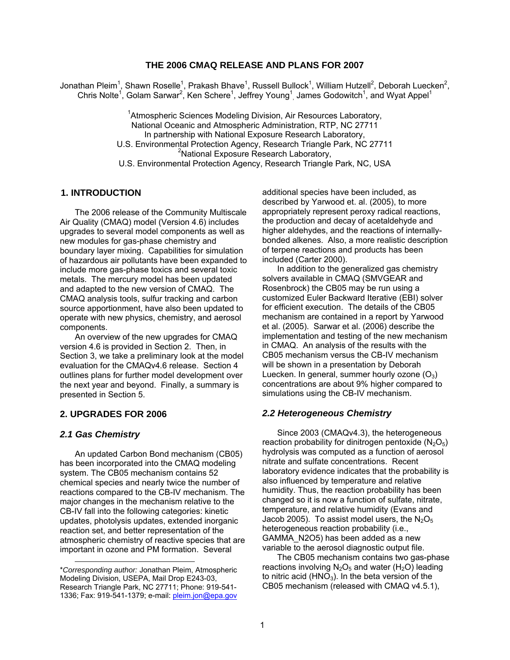# **THE 2006 CMAQ RELEASE AND PLANS FOR 2007**

Jonathan Pleim<sup>1</sup>, Shawn Roselle<sup>1</sup>, Prakash Bhave<sup>1</sup>, Russell Bullock<sup>1</sup>, William Hutzell<sup>2</sup>, Deborah Luecken<sup>2</sup>, Chris Nolte<sup>1</sup>, Golam Sarwar<sup>2</sup>, Ken Schere<sup>1</sup>, Jeffrey Young<sup>1</sup>, James Godowitch<sup>1</sup>, and Wyat Appel<sup>1</sup>

> <sup>1</sup> Atmospheric Sciences Modeling Division, Air Resources Laboratory, National Oceanic and Atmospheric Administration, RTP, NC 27711 In partnership with National Exposure Research Laboratory, U.S. Environmental Protection Agency, Research Triangle Park, NC 27711 <sup>2</sup>National Exposure Research Laboratory, U.S. Environmental Protection Agency, Research Triangle Park, NC, USA

## **1. INTRODUCTION**

 The 2006 release of the Community Multiscale Air Quality (CMAQ) model (Version 4.6) includes upgrades to several model components as well as new modules for gas-phase chemistry and boundary layer mixing. Capabilities for simulation of hazardous air pollutants have been expanded to include more gas-phase toxics and several toxic metals. The mercury model has been updated and adapted to the new version of CMAQ. The CMAQ analysis tools, sulfur tracking and carbon source apportionment, have also been updated to operate with new physics, chemistry, and aerosol components.

 An overview of the new upgrades for CMAQ version 4.6 is provided in Section 2. Then, in Section 3, we take a preliminary look at the model evaluation for the CMAQv4.6 release. Section 4 outlines plans for further model development over the next year and beyond. Finally, a summary is presented in Section 5.

## **2. UPGRADES FOR 2006**

#### *2.1 Gas Chemistry*

1

 An updated Carbon Bond mechanism (CB05) has been incorporated into the CMAQ modeling system. The CB05 mechanism contains 52 chemical species and nearly twice the number of reactions compared to the CB-IV mechanism. The major changes in the mechanism relative to the CB-IV fall into the following categories: kinetic updates, photolysis updates, extended inorganic reaction set, and better representation of the atmospheric chemistry of reactive species that are important in ozone and PM formation. Several

additional species have been included, as described by Yarwood et. al. (2005), to more appropriately represent peroxy radical reactions, the production and decay of acetaldehyde and higher aldehydes, and the reactions of internallybonded alkenes. Also, a more realistic description of terpene reactions and products has been included (Carter 2000).

 In addition to the generalized gas chemistry solvers available in CMAQ (SMVGEAR and Rosenbrock) the CB05 may be run using a customized Euler Backward Iterative (EBI) solver for efficient execution. The details of the CB05 mechanism are contained in a report by Yarwood et al. (2005). Sarwar et al. (2006) describe the implementation and testing of the new mechanism in CMAQ. An analysis of the results with the CB05 mechanism versus the CB-IV mechanism will be shown in a presentation by Deborah Luecken. In general, summer hourly ozone  $(O_3)$ concentrations are about 9% higher compared to simulations using the CB-IV mechanism.

#### *2.2 Heterogeneous Chemistry*

 Since 2003 (CMAQv4.3), the heterogeneous reaction probability for dinitrogen pentoxide  $(N_2O_5)$ hydrolysis was computed as a function of aerosol nitrate and sulfate concentrations. Recent laboratory evidence indicates that the probability is also influenced by temperature and relative humidity. Thus, the reaction probability has been changed so it is now a function of sulfate, nitrate, temperature, and relative humidity (Evans and Jacob 2005). To assist model users, the  $N_2O_5$ heterogeneous reaction probability (i.e., GAMMA\_N2O5) has been added as a new variable to the aerosol diagnostic output file.

 The CB05 mechanism contains two gas-phase reactions involving  $N_2O_5$  and water (H<sub>2</sub>O) leading to nitric acid ( $HNO<sub>3</sub>$ ). In the beta version of the CB05 mechanism (released with CMAQ v4.5.1),

<sup>\*</sup>*Corresponding author:* Jonathan Pleim, Atmospheric Modeling Division, USEPA, Mail Drop E243-03, Research Triangle Park, NC 27711; Phone: 919-541- 1336; Fax: 919-541-1379; e-mail: [pleim.jon@epa.gov](mailto:pleim.jon@epa.gov)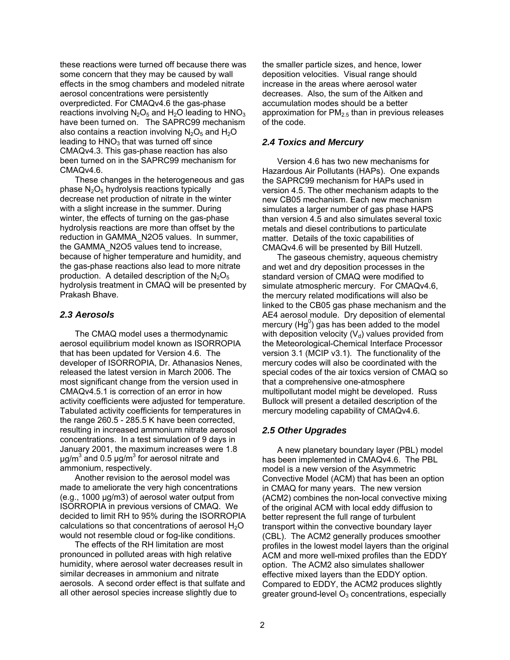these reactions were turned off because there was some concern that they may be caused by wall effects in the smog chambers and modeled nitrate aerosol concentrations were persistently overpredicted. For CMAQv4.6 the gas-phase reactions involving  $N_2O_5$  and  $H_2O$  leading to  $HNO_3$ have been turned on. The SAPRC99 mechanism also contains a reaction involving  $N_2O_5$  and  $H_2O$ leading to  $HNO<sub>3</sub>$  that was turned off since CMAQv4.3. This gas-phase reaction has also been turned on in the SAPRC99 mechanism for CMAQv4.6.

 These changes in the heterogeneous and gas phase  $N_2O_5$  hydrolysis reactions typically decrease net production of nitrate in the winter with a slight increase in the summer. During winter, the effects of turning on the gas-phase hydrolysis reactions are more than offset by the reduction in GAMMA\_N2O5 values. In summer, the GAMMA\_N2O5 values tend to increase, because of higher temperature and humidity, and the gas-phase reactions also lead to more nitrate production. A detailed description of the  $N_2O_5$ hydrolysis treatment in CMAQ will be presented by Prakash Bhave.

### *2.3 Aerosols*

 The CMAQ model uses a thermodynamic aerosol equilibrium model known as ISORROPIA that has been updated for Version 4.6. The developer of ISORROPIA, Dr. Athanasios Nenes, released the latest version in March 2006. The most significant change from the version used in CMAQv4.5.1 is correction of an error in how activity coefficients were adjusted for temperature. Tabulated activity coefficients for temperatures in the range 260.5 - 285.5 K have been corrected, resulting in increased ammonium nitrate aerosol concentrations. In a test simulation of 9 days in January 2001, the maximum increases were 1.8 μg/m<sup>3</sup> and 0.5 μg/m<sup>3</sup> for aerosol nitrate and ammonium, respectively.

 Another revision to the aerosol model was made to ameliorate the very high concentrations (e.g., 1000 μg/m3) of aerosol water output from ISORROPIA in previous versions of CMAQ. We decided to limit RH to 95% during the ISORROPIA calculations so that concentrations of aerosol  $H_2O$ would not resemble cloud or fog-like conditions.

 The effects of the RH limitation are most pronounced in polluted areas with high relative humidity, where aerosol water decreases result in similar decreases in ammonium and nitrate aerosols. A second order effect is that sulfate and all other aerosol species increase slightly due to

the smaller particle sizes, and hence, lower deposition velocities. Visual range should increase in the areas where aerosol water decreases. Also, the sum of the Aitken and accumulation modes should be a better approximation for  $PM<sub>2.5</sub>$  than in previous releases of the code.

# *2.4 Toxics and Mercury*

Version 4.6 has two new mechanisms for Hazardous Air Pollutants (HAPs). One expands the SAPRC99 mechanism for HAPs used in version 4.5. The other mechanism adapts to the new CB05 mechanism. Each new mechanism simulates a larger number of gas phase HAPS than version 4.5 and also simulates several toxic metals and diesel contributions to particulate matter. Details of the toxic capabilities of CMAQv4.6 will be presented by Bill Hutzell.

 The gaseous chemistry, aqueous chemistry and wet and dry deposition processes in the standard version of CMAQ were modified to simulate atmospheric mercury. For CMAQv4.6, the mercury related modifications will also be linked to the CB05 gas phase mechanism and the AE4 aerosol module. Dry deposition of elemental mercury (Hg $^{0}$ ) gas has been added to the model with deposition velocity  $(V_d)$  values provided from the Meteorological-Chemical Interface Processor version 3.1 (MCIP v3.1). The functionality of the mercury codes will also be coordinated with the special codes of the air toxics version of CMAQ so that a comprehensive one-atmosphere multipollutant model might be developed. Russ Bullock will present a detailed description of the mercury modeling capability of CMAQv4.6.

### *2.5 Other Upgrades*

 A new planetary boundary layer (PBL) model has been implemented in CMAQv4.6. The PBL model is a new version of the Asymmetric Convective Model (ACM) that has been an option in CMAQ for many years. The new version (ACM2) combines the non-local convective mixing of the original ACM with local eddy diffusion to better represent the full range of turbulent transport within the convective boundary layer (CBL). The ACM2 generally produces smoother profiles in the lowest model layers than the original ACM and more well-mixed profiles than the EDDY option. The ACM2 also simulates shallower effective mixed layers than the EDDY option. Compared to EDDY, the ACM2 produces slightly greater ground-level  $O_3$  concentrations, especially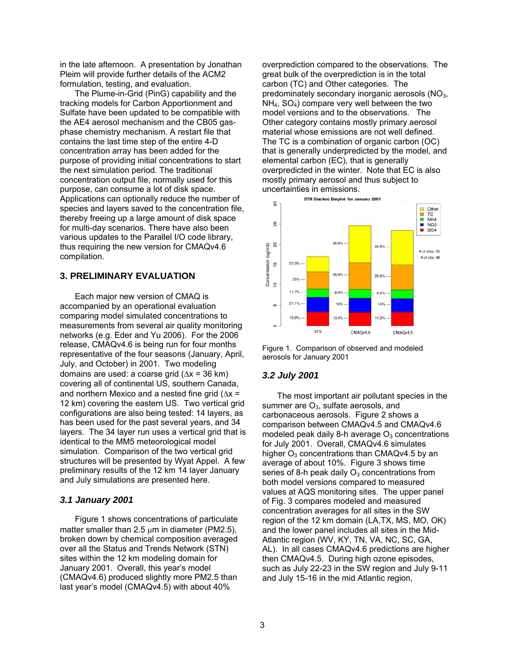in the late afternoon. A presentation by Jonathan Pleim will provide further details of the ACM2 formulation, testing, and evaluation.

 The Plume-in-Grid (PinG) capability and the tracking models for Carbon Apportionment and Sulfate have been updated to be compatible with the AE4 aerosol mechanism and the CB05 gasphase chemistry mechanism. A restart file that contains the last time step of the entire 4-D concentration array has been added for the purpose of providing initial concentrations to start the next simulation period. The traditional concentration output file, normally used for this purpose, can consume a lot of disk space. Applications can optionally reduce the number of species and layers saved to the concentration file, thereby freeing up a large amount of disk space for multi-day scenarios. There have also been various updates to the Parallel I/O code library, thus requiring the new version for CMAQv4.6 compilation.

# **3. PRELIMINARY EVALUATION**

Each major new version of CMAQ is accompanied by an operational evaluation comparing model simulated concentrations to measurements from several air quality monitoring networks (e.g. Eder and Yu 2006). For the 2006 release, CMAQv4.6 is being run for four months representative of the four seasons (January, April, July, and October) in 2001. Two modeling domains are used: a coarse grid ( $\Delta x = 36$  km) covering all of continental US, southern Canada, and northern Mexico and a nested fine grid ( $\Delta x =$ 12 km) covering the eastern US. Two vertical grid configurations are also being tested: 14 layers, as has been used for the past several years, and 34 layers. The 34 layer run uses a vertical grid that is identical to the MM5 meteorological model simulation. Comparison of the two vertical grid structures will be presented by Wyat Appel. A few preliminary results of the 12 km 14 layer January and July simulations are presented here.

## *3.1 January 2001*

Figure 1 shows concentrations of particulate matter smaller than 2.5  $\mu$ m in diameter (PM2.5), broken down by chemical composition averaged over all the Status and Trends Network (STN) sites within the 12 km modeling domain for January 2001. Overall, this year's model (CMAQv4.6) produced slightly more PM2.5 than last year's model (CMAQv4.5) with about 40%

overprediction compared to the observations. The great bulk of the overprediction is in the total carbon (TC) and Other categories. The predominately secondary inorganic aerosols (NO3,  $NH<sub>4</sub>$ ,  $SO<sub>4</sub>$ ) compare very well between the two model versions and to the observations. The Other category contains mostly primary aerosol material whose emissions are not well defined. The TC is a combination of organic carbon (OC) that is generally underpredicted by the model, and elemental carbon (EC), that is generally overpredicted in the winter. Note that EC is also mostly primary aerosol and thus subject to uncertainties in emissions.





## *3.2 July 2001*

 The most important air pollutant species in the summer are  $O<sub>3</sub>$ , sulfate aerosols, and carbonaceous aerosols. Figure 2 shows a comparison between CMAQv4.5 and CMAQv4.6 modeled peak daily 8-h average  $O<sub>3</sub>$  concentrations for July 2001. Overall, CMAQv4.6 simulates higher  $O_3$  concentrations than CMAQv4.5 by an average of about 10%. Figure 3 shows time series of 8-h peak daily  $O_3$  concentrations from both model versions compared to measured values at AQS monitoring sites. The upper panel of Fig. 3 compares modeled and measured concentration averages for all sites in the SW region of the 12 km domain (LA,TX, MS, MO, OK) and the lower panel includes all sites in the Mid-Atlantic region (WV, KY, TN, VA, NC, SC, GA, AL). In all cases CMAQv4.6 predictions are higher then CMAQv4.5. During high ozone episodes, such as July 22-23 in the SW region and July 9-11 and July 15-16 in the mid Atlantic region,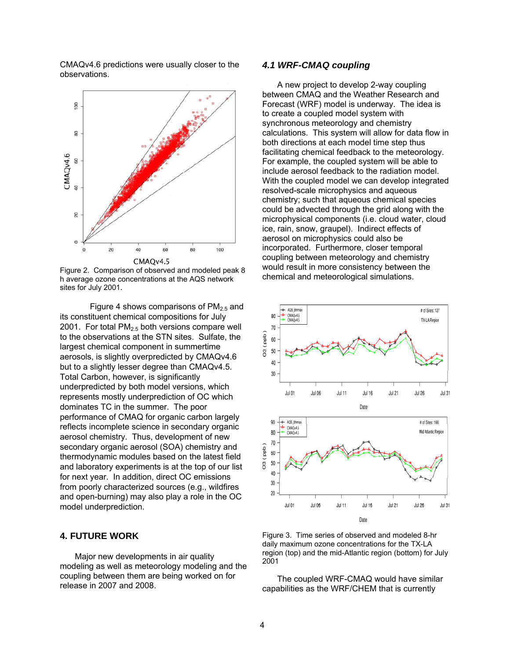CMAQv4.6 predictions were usually closer to the observations.



Figure 2. Comparison of observed and modeled peak 8 h average ozone concentrations at the AQS network sites for July 2001.

Figure 4 shows comparisons of  $PM<sub>2.5</sub>$  and its constituent chemical compositions for July 2001. For total  $PM<sub>2.5</sub>$  both versions compare well to the observations at the STN sites. Sulfate, the largest chemical component in summertime aerosols, is slightly overpredicted by CMAQv4.6 but to a slightly lesser degree than CMAQv4.5. Total Carbon, however, is significantly underpredicted by both model versions, which represents mostly underprediction of OC which dominates TC in the summer. The poor performance of CMAQ for organic carbon largely reflects incomplete science in secondary organic aerosol chemistry. Thus, development of new secondary organic aerosol (SOA) chemistry and thermodynamic modules based on the latest field and laboratory experiments is at the top of our list for next year. In addition, direct OC emissions from poorly characterized sources (e.g., wildfires and open-burning) may also play a role in the OC model underprediction.

# **4. FUTURE WORK**

 Major new developments in air quality modeling as well as meteorology modeling and the coupling between them are being worked on for release in 2007 and 2008.

### *4.1 WRF-CMAQ coupling*

 A new project to develop 2-way coupling between CMAQ and the Weather Research and Forecast (WRF) model is underway. The idea is to create a coupled model system with synchronous meteorology and chemistry calculations. This system will allow for data flow in both directions at each model time step thus facilitating chemical feedback to the meteorology. For example, the coupled system will be able to include aerosol feedback to the radiation model. With the coupled model we can develop integrated resolved-scale microphysics and aqueous chemistry; such that aqueous chemical species could be advected through the grid along with the microphysical components (i.e. cloud water, cloud ice, rain, snow, graupel). Indirect effects of aerosol on microphysics could also be incorporated. Furthermore, closer temporal coupling between meteorology and chemistry would result in more consistency between the chemical and meteorological simulations.



Figure 3. Time series of observed and modeled 8-hr daily maximum ozone concentrations for the TX-LA region (top) and the mid-Atlantic region (bottom) for July 2001

 The coupled WRF-CMAQ would have similar capabilities as the WRF/CHEM that is currently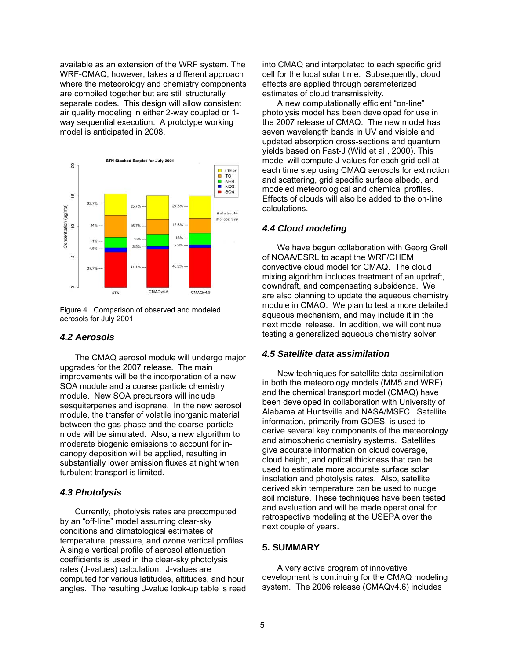available as an extension of the WRF system. The WRF-CMAQ, however, takes a different approach where the meteorology and chemistry components are compiled together but are still structurally separate codes. This design will allow consistent air quality modeling in either 2-way coupled or 1 way sequential execution. A prototype working model is anticipated in 2008.



Figure 4. Comparison of observed and modeled aerosols for July 2001

# *4.2 Aerosols*

 The CMAQ aerosol module will undergo major upgrades for the 2007 release. The main improvements will be the incorporation of a new SOA module and a coarse particle chemistry module. New SOA precursors will include sesquiterpenes and isoprene. In the new aerosol module, the transfer of volatile inorganic material between the gas phase and the coarse-particle mode will be simulated. Also, a new algorithm to moderate biogenic emissions to account for incanopy deposition will be applied, resulting in substantially lower emission fluxes at night when turbulent transport is limited.

# *4.3 Photolysis*

 Currently, photolysis rates are precomputed by an "off-line" model assuming clear-sky conditions and climatological estimates of temperature, pressure, and ozone vertical profiles. A single vertical profile of aerosol attenuation coefficients is used in the clear-sky photolysis rates (J-values) calculation. J-values are computed for various latitudes, altitudes, and hour angles. The resulting J-value look-up table is read into CMAQ and interpolated to each specific grid cell for the local solar time. Subsequently, cloud effects are applied through parameterized estimates of cloud transmissivity.

 A new computationally efficient "on-line" photolysis model has been developed for use in the 2007 release of CMAQ. The new model has seven wavelength bands in UV and visible and updated absorption cross-sections and quantum yields based on Fast-J (Wild et al., 2000). This model will compute J-values for each grid cell at each time step using CMAQ aerosols for extinction and scattering, grid specific surface albedo, and modeled meteorological and chemical profiles. Effects of clouds will also be added to the on-line calculations.

## *4.4 Cloud modeling*

 We have begun collaboration with Georg Grell of NOAA/ESRL to adapt the WRF/CHEM convective cloud model for CMAQ. The cloud mixing algorithm includes treatment of an updraft, downdraft, and compensating subsidence. We are also planning to update the aqueous chemistry module in CMAQ. We plan to test a more detailed aqueous mechanism, and may include it in the next model release. In addition, we will continue testing a generalized aqueous chemistry solver.

### *4.5 Satellite data assimilation*

 New techniques for satellite data assimilation in both the meteorology models (MM5 and WRF) and the chemical transport model (CMAQ) have been developed in collaboration with University of Alabama at Huntsville and NASA/MSFC. Satellite information, primarily from GOES, is used to derive several key components of the meteorology and atmospheric chemistry systems. Satellites give accurate information on cloud coverage, cloud height, and optical thickness that can be used to estimate more accurate surface solar insolation and photolysis rates. Also, satellite derived skin temperature can be used to nudge soil moisture. These techniques have been tested and evaluation and will be made operational for retrospective modeling at the USEPA over the next couple of years.

# **5. SUMMARY**

 A very active program of innovative development is continuing for the CMAQ modeling system. The 2006 release (CMAQv4.6) includes